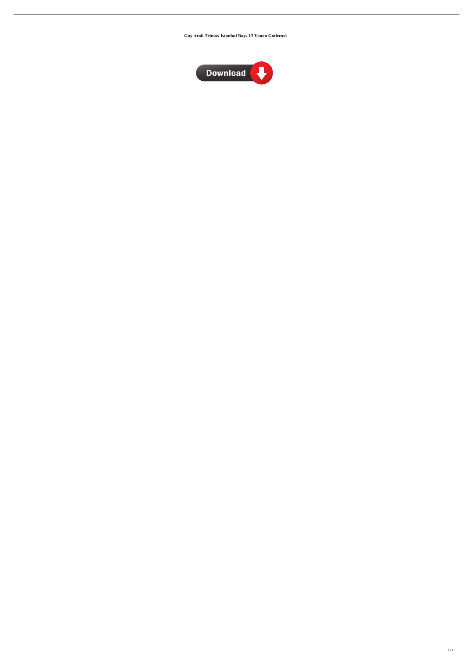**Gay Arab Trimax Istanbul Boys 12 Yanan Gotleravi**



 $1/2$